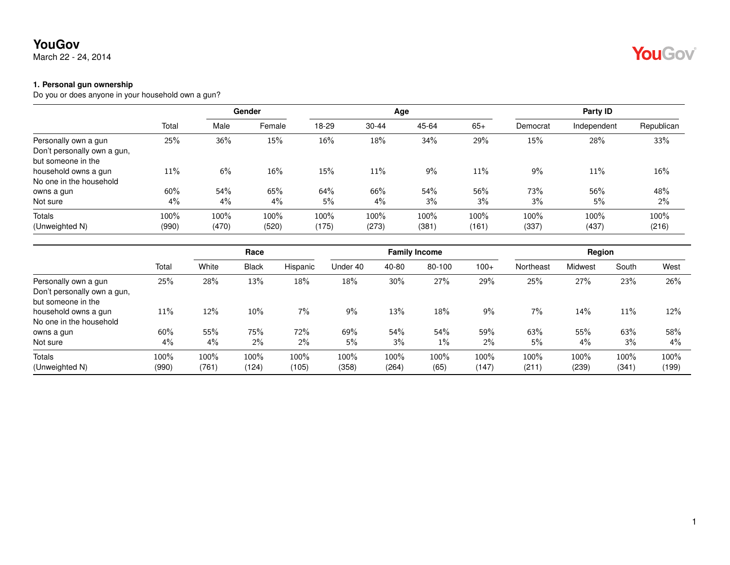March 22 - 24, 2014

#### **1. Personal gun ownership**

Do you or does anyone in your household own a gun?

|                                                   |               | <b>Gender</b> |               |               |               | Age           | Party ID      |               |               |               |
|---------------------------------------------------|---------------|---------------|---------------|---------------|---------------|---------------|---------------|---------------|---------------|---------------|
|                                                   | Total         | Male          | Female        | 18-29         | $30 - 44$     | 45-64         | $65+$         | Democrat      | Independent   | Republican    |
| Personally own a gun                              | 25%           | 36%           | 15%           | 16%           | 18%           | 34%           | 29%           | 15%           | 28%           | 33%           |
| Don't personally own a gun,<br>but someone in the |               |               |               |               |               |               |               |               |               |               |
| household owns a gun<br>No one in the household   | 11%           | 6%            | $16\%$        | 15%           | 11%           | 9%            | 11%           | 9%            | 11%           | $16\%$        |
| owns a gun                                        | 60%           | 54%           | 65%           | 64%           | 66%           | 54%           | 56%           | 73%           | 56%           | 48%           |
| Not sure                                          | 4%            | 4%            | 4%            | 5%            | 4%            | 3%            | 3%            | 3%            | 5%            | $2\%$         |
| Totals<br>(Unweighted N)                          | 100%<br>(990) | 100%<br>(470) | 100%<br>(520) | 100%<br>(175) | 100%<br>(273) | 100%<br>(381) | 100%<br>(161) | 100%<br>(337) | 100%<br>(437) | 100%<br>(216) |

|                                                                           |               |               |               | Race          |               |               | <b>Family Income</b> |               | Region        |               |               |               |
|---------------------------------------------------------------------------|---------------|---------------|---------------|---------------|---------------|---------------|----------------------|---------------|---------------|---------------|---------------|---------------|
|                                                                           | Total         | White         | <b>Black</b>  | Hispanic      | Under 40      | 40-80         | 80-100               | $100+$        | Northeast     | Midwest       | South         | West          |
| Personally own a gun<br>Don't personally own a gun,<br>but someone in the | 25%           | 28%           | 13%           | 18%           | 18%           | 30%           | 27%                  | 29%           | 25%           | 27%           | 23%           | 26%           |
| household owns a gun<br>No one in the household                           | 11%           | 12%           | 10%           | 7%            | 9%            | 13%           | 18%                  | $9\%$         | 7%            | 14%           | 11%           | 12%           |
| owns a gun<br>Not sure                                                    | 60%<br>4%     | 55%<br>$4\%$  | 75%<br>$2\%$  | 72%<br>$2\%$  | 69%<br>5%     | 54%<br>3%     | 54%<br>$1\%$         | 59%<br>2%     | 63%<br>5%     | 55%<br>$4\%$  | 63%<br>3%     | 58%<br>$4\%$  |
| Totals<br>(Unweighted N)                                                  | 100%<br>(990) | 100%<br>(761) | 100%<br>(124) | 100%<br>(105) | 100%<br>(358) | 100%<br>(264) | 100%<br>(65)         | 100%<br>(147) | 100%<br>(211) | 100%<br>(239) | 100%<br>(341) | 100%<br>(199) |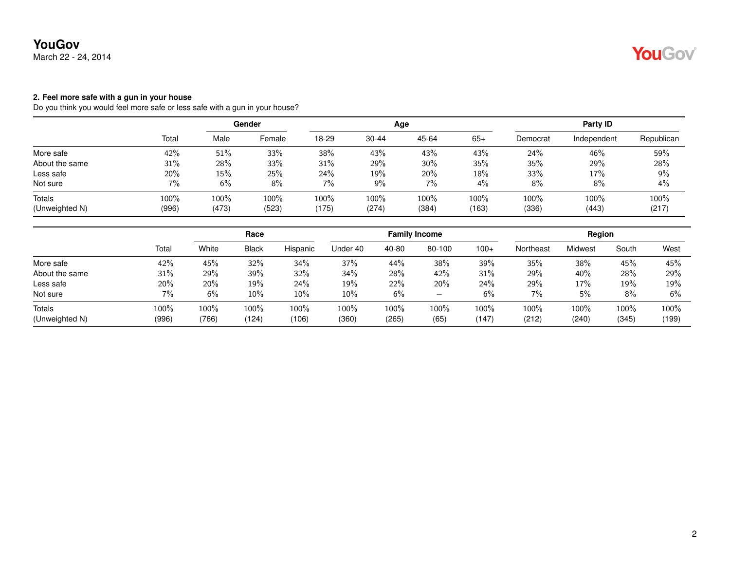March 22 - 24, 2014

#### **2. Feel more safe with a gun in your house**

Do you think you would feel more safe or less safe with a gun in your house?

|                          |               | Gender        |               |               |               | Age           | Party ID         |               |               |               |
|--------------------------|---------------|---------------|---------------|---------------|---------------|---------------|------------------|---------------|---------------|---------------|
|                          | Total         | Male          | Female        | 18-29         | $30 - 44$     | 45-64         | $65+$            | Democrat      | Independent   | Republican    |
| More safe                | 42%           | 51%           | 33%           | 38%           | 43%           | 43%           | 43%              | 24%           | 46%           | 59%           |
| About the same           | 31%           | 28%           | 33%           | 31%           | 29%           | 30%           | 35%              | 35%           | 29%           | 28%           |
| Less safe                | 20%           | 15%           | 25%           | 24%           | 19%           | 20%           | 18%              | 33%           | 17%           | $9\%$         |
| Not sure                 | 7%            | 6%            | 8%            | $7\%$         | $9\%$         | 7%            | 4%               | 8%            | 8%            | 4%            |
| Totals<br>(Unweighted N) | 100%<br>(996) | 100%<br>(473) | 100%<br>(523) | 100%<br>(175) | 100%<br>(274) | 100%<br>(384) | $100\%$<br>(163) | 100%<br>(336) | 100%<br>(443) | 100%<br>(217) |

|                |       | Race  |              |          |          | <b>Family Income</b> |        |        | Region    |         |       |       |
|----------------|-------|-------|--------------|----------|----------|----------------------|--------|--------|-----------|---------|-------|-------|
|                | Total | White | <b>Black</b> | Hispanic | Under 40 | 40-80                | 80-100 | $100+$ | Northeast | Midwest | South | West  |
| More safe      | 42%   | 45%   | 32%          | 34%      | 37%      | 44%                  | 38%    | 39%    | 35%       | 38%     | 45%   | 45%   |
| About the same | 31%   | 29%   | 39%          | 32%      | 34%      | 28%                  | 42%    | 31%    | 29%       | 40%     | 28%   | 29%   |
| Less safe      | 20%   | 20%   | 19%          | 24%      | 19%      | 22%                  | 20%    | 24%    | 29%       | 17%     | 19%   | 19%   |
| Not sure       | 7%    | 6%    | 10%          | 10%      | $10\%$   | 6%                   | —      | 6%     | $7\%$     | 5%      | 8%    | 6%    |
| Totals         | 100%  | 100%  | 100%         | 100%     | 100%     | 100%                 | 100%   | 100%   | 100%      | 100%    | 100%  | 100%  |
| (Unweighted N) | (996) | (766) | (124)        | (106)    | (360)    | (265)                | (65)   | (147)  | (212)     | (240)   | (345) | (199) |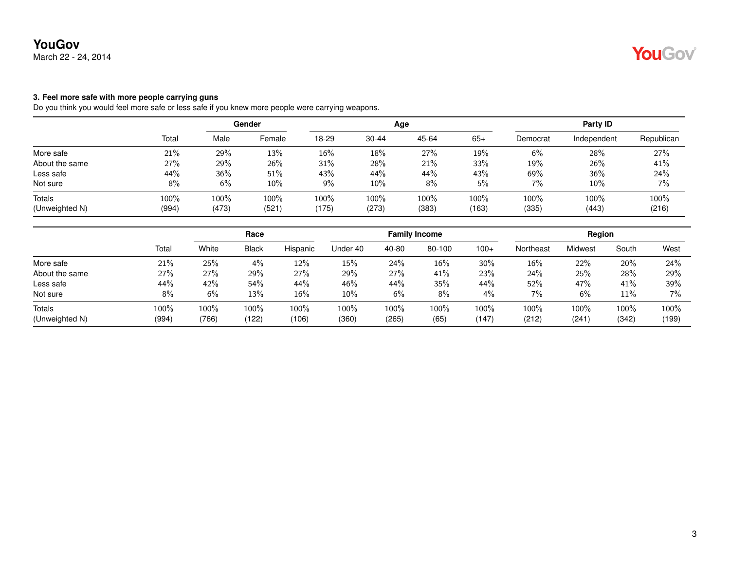March 22 - 24, 2014

#### **3. Feel more safe with more people carrying guns**

Do you think you would feel more safe or less safe if you knew more people were carrying weapons.

|                          |               | Gender        |                  |               |               | Age           | Party ID      |               |               |               |
|--------------------------|---------------|---------------|------------------|---------------|---------------|---------------|---------------|---------------|---------------|---------------|
|                          | Total         | Male          | Female           | 18-29         | $30 - 44$     | 45-64         | $65+$         | Democrat      | Independent   | Republican    |
| More safe                | 21%           | 29%           | 13%              | $16\%$        | 18%           | 27%           | 19%           | 6%            | 28%           | 27%           |
| About the same           | 27%           | 29%           | 26%              | 31%           | 28%           | 21%           | 33%           | 19%           | 26%           | 41%           |
| Less safe                | 44%           | 36%           | $51\%$           | 43%           | 44%           | 44%           | 43%           | 69%           | 36%           | 24%           |
| Not sure                 | 8%            | 6%            | $10\%$           | 9%            | 10%           | 8%            | 5%            | 7%            | 10%           | 7%            |
| Totals<br>(Unweighted N) | 100%<br>(994) | 100%<br>(473) | $100\%$<br>(521) | 100%<br>(175) | 100%<br>(273) | 100%<br>(383) | 100%<br>(163) | 100%<br>(335) | 100%<br>(443) | 100%<br>(216) |
|                          |               |               |                  |               |               |               |               |               |               |               |

|                |       | Race  |              |          |          | <b>Family Income</b> |        |        | Region    |         |       |       |
|----------------|-------|-------|--------------|----------|----------|----------------------|--------|--------|-----------|---------|-------|-------|
|                | Total | White | <b>Black</b> | Hispanic | Under 40 | 40-80                | 80-100 | $100+$ | Northeast | Midwest | South | West  |
| More safe      | 21%   | 25%   | 4%           | 12%      | 15%      | 24%                  | 16%    | 30%    | $16\%$    | 22%     | 20%   | 24%   |
| About the same | 27%   | 27%   | 29%          | 27%      | 29%      | 27%                  | 41%    | 23%    | 24%       | 25%     | 28%   | 29%   |
| Less safe      | 44%   | 42%   | 54%          | 44%      | 46%      | 44%                  | 35%    | 44%    | 52%       | 47%     | 41%   | 39%   |
| Not sure       | 8%    | 6%    | 13%          | 16%      | $10\%$   | 6%                   | 8%     | $4\%$  | $7\%$     | 6%      | 11%   | 7%    |
| Totals         | 100%  | 100%  | 100%         | 100%     | 100%     | 100%                 | 100%   | 100%   | 100%      | 100%    | 100%  | 100%  |
| (Unweighted N) | (994) | (766) | (122)        | (106)    | (360)    | (265)                | (65)   | (147)  | (212)     | (241)   | (342) | (199) |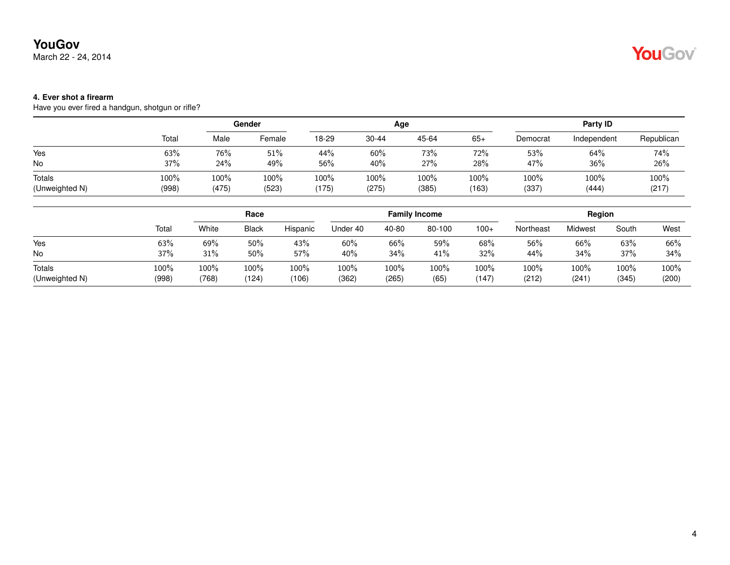March 22 - 24, 2014

## YouGov

### **4. Ever shot a firearm**

Have you ever fired a handgun, shotgun or rifle?

|                |       |       | Gender |       |       | Age   | Party ID |          |             |            |
|----------------|-------|-------|--------|-------|-------|-------|----------|----------|-------------|------------|
|                | Total | Male  | Female | 18-29 | 30-44 | 45-64 | $65+$    | Democrat | Independent | Republican |
| Yes            | 63%   | 76%   | 51%    | 44%   | 60%   | 73%   | 72%      | 53%      | 64%         | 74%        |
| No             | 37%   | 24%   | 49%    | 56%   | 40%   | 27%   | 28%      | 47%      | 36%         | 26%        |
| Totals         | 100%  | 100%  | 100%   | 100%  | 100%  | 100%  | 100%     | 100%     | 100%        | 100%       |
| (Unweighted N) | (998) | (475) | (523)  | (175) | (275) | (385) | (163)    | (337)    | (444)       | (217)      |

|                |       | Race  |              |          |          |       | <b>Family Income</b> |        | Region    |         |       |       |
|----------------|-------|-------|--------------|----------|----------|-------|----------------------|--------|-----------|---------|-------|-------|
|                | Total | White | <b>Black</b> | Hispanic | Under 40 | 40-80 | 80-100               | $100+$ | Northeast | Midwest | South | West  |
| Yes            | 63%   | 69%   | 50%          | 43%      | 60%      | 66%   | 59%                  | 68%    | 56%       | 66%     | 63%   | 66%   |
| <b>No</b>      | 37%   | 31%   | 50%          | 57%      | 40%      | 34%   | 41%                  | 32%    | 44%       | 34%     | 37%   | 34%   |
| Totals         | 100%  | 100%  | 100%         | 100%     | 100%     | 100%  | 100%                 | 100%   | 100%      | 100%    | 100%  | 100%  |
| (Unweighted N) | (998) | (768) | (124)        | (106)    | (362)    | (265) | (65)                 | (147)  | (212)     | (241)   | (345) | (200) |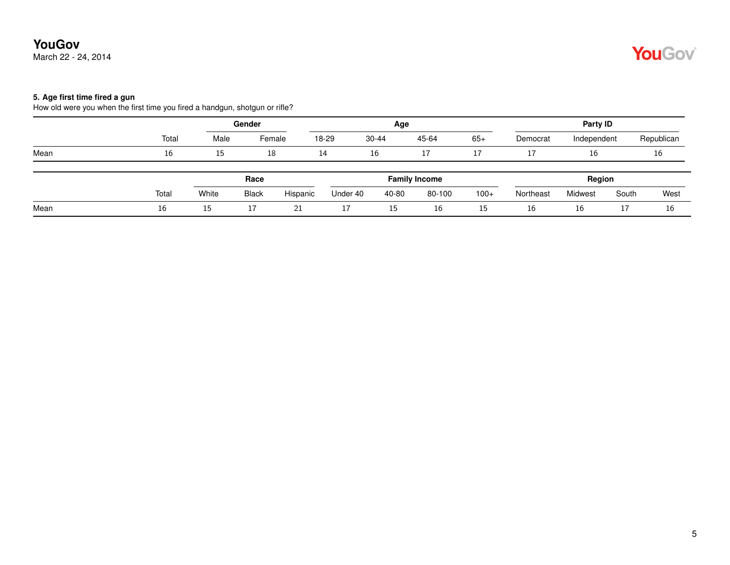March 22 - 24, 2014

# YouGov®

### **5. Age first time fired a gun**

How old were you when the first time you fired a handgun, shotgun or rifle?

|      |       | Gender |              |          |          | Age   |                      | Party ID |           |             |       |            |  |
|------|-------|--------|--------------|----------|----------|-------|----------------------|----------|-----------|-------------|-------|------------|--|
|      | Total | Male   |              | Female   | 18-29    | 30-44 | 45-64                | $65+$    | Democrat  | Independent |       | Republican |  |
| Mean | 16    | 15     | 18           |          | 14       | 16    | 17                   | 17       | 17        | 16          |       | 16         |  |
|      |       |        | Race         |          |          |       | <b>Family Income</b> |          |           | Region      |       |            |  |
|      | Total | White  | <b>Black</b> | Hispanic | Under 40 | 40-80 | 80-100               | $100+$   | Northeast | Midwest     | South | West       |  |
| Mean | 16    | 15     | 17           | 21       | <b>+</b> | 15    | 16                   | 15       | 16        | 16          | 17    | 16         |  |